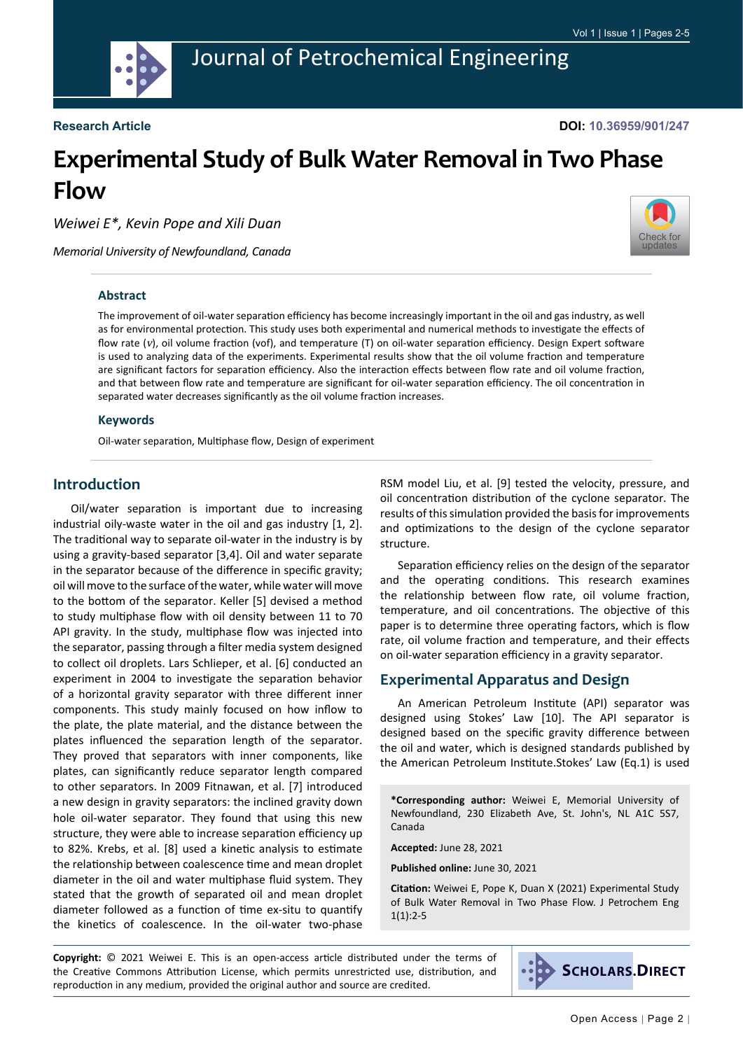

**DOI: 10.36959/901/247**

# **Experimental Study of Bulk Water Removal in Two Phase Flow**

*Weiwei E\*, Kevin Pope and Xili Duan*

*Memorial University of Newfoundland, Canada*



#### **Abstract**

The improvement of oil-water separation efficiency has become increasingly important in the oil and gas industry, as well as for environmental protection. This study uses both experimental and numerical methods to investigate the effects of flow rate (v), oil volume fraction (vof), and temperature (T) on oil-water separation efficiency. Design Expert software is used to analyzing data of the experiments. Experimental results show that the oil volume fraction and temperature are significant factors for separation efficiency. Also the interaction effects between flow rate and oil volume fraction, and that between flow rate and temperature are significant for oil-water separation efficiency. The oil concentration in separated water decreases significantly as the oil volume fraction increases.

#### **Keywords**

Oil-water separation, Multiphase flow, Design of experiment

## **Introduction**

Oil/water separation is important due to increasing industrial oily-waste water in the oil and gas industry [1, 2]. The traditional way to separate oil-water in the industry is by using a gravity-based separator [3,4]. Oil and water separate in the separator because of the difference in specific gravity; oil will move to the surface of the water, while water will move to the bottom of the separator. Keller [5] devised a method to study multiphase flow with oil density between 11 to 70 API gravity. In the study, multiphase flow was injected into the separator, passing through a filter media system designed to collect oil droplets. Lars Schlieper, et al. [6] conducted an experiment in 2004 to investigate the separation behavior of a horizontal gravity separator with three different inner components. This study mainly focused on how inflow to the plate, the plate material, and the distance between the plates influenced the separation length of the separator. They proved that separators with inner components, like plates, can significantly reduce separator length compared to other separators. In 2009 Fitnawan, et al. [7] introduced a new design in gravity separators: the inclined gravity down hole oil-water separator. They found that using this new structure, they were able to increase separation efficiency up to 82%. Krebs, et al. [8] used a kinetic analysis to estimate the relationship between coalescence time and mean droplet diameter in the oil and water multiphase fluid system. They stated that the growth of separated oil and mean droplet diameter followed as a function of time ex-situ to quantify the kinetics of coalescence. In the oil-water two-phase

RSM model Liu, et al. [9] tested the velocity, pressure, and oil concentration distribution of the cyclone separator. The results of this simulation provided the basis for improvements and optimizations to the design of the cyclone separator structure.

Separation efficiency relies on the design of the separator and the operating conditions. This research examines the relationship between flow rate, oil volume fraction, temperature, and oil concentrations. The objective of this paper is to determine three operating factors, which is flow rate, oil volume fraction and temperature, and their effects on oil-water separation efficiency in a gravity separator.

### **Experimental Apparatus and Design**

An American Petroleum Institute (API) separator was designed using Stokes' Law [10]. The API separator is designed based on the specific gravity difference between the oil and water, which is designed standards published by the American Petroleum Institute.Stokes' Law (Eq.1) is used

**\*Corresponding author:** Weiwei E, Memorial University of Newfoundland, 230 Elizabeth Ave, St. John's, NL A1C 5S7, Canada

**Accepted:** June 28, 2021

**Published online:** June 30, 2021

**Citation:** Weiwei E, Pope K, Duan X (2021) Experimental Study of Bulk Water Removal in Two Phase Flow. J Petrochem Eng  $1(1):2-5$ 

**Copyright:** © 2021 Weiwei E. This is an open-access article distributed under the terms of the Creative Commons Attribution License, which permits unrestricted use, distribution, and reproduction in any medium, provided the original author and source are credited.

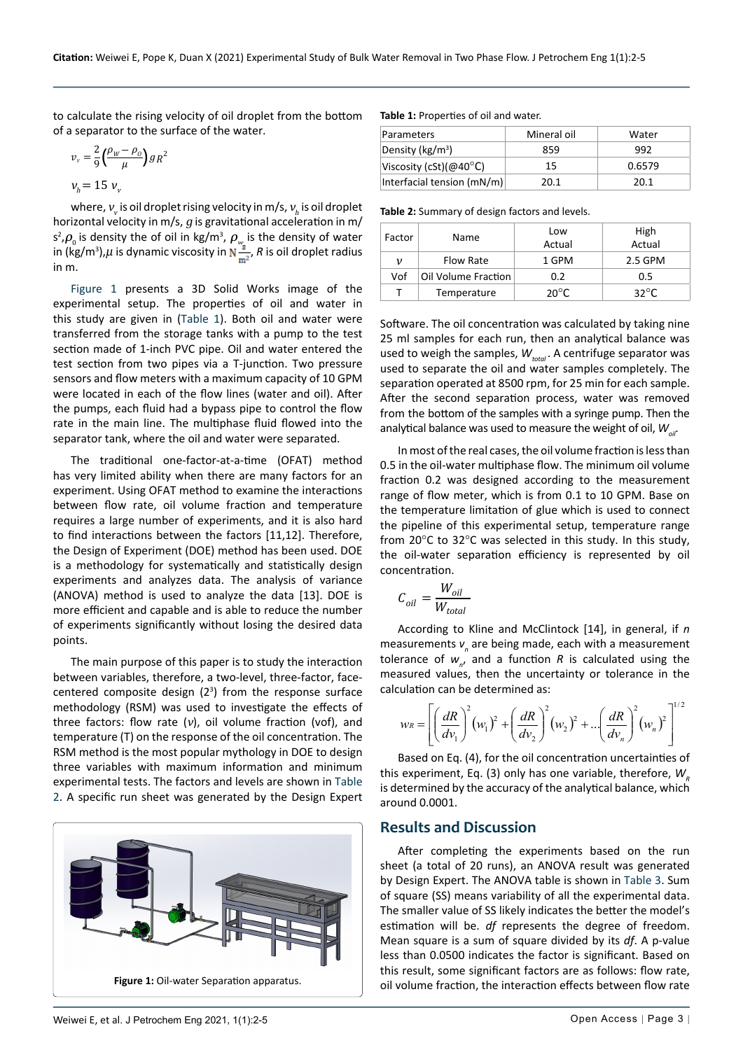to calculate the rising velocity of oil droplet from the bottom of a separator to the surface of the water.

$$
v_v = \frac{2}{9} \left( \frac{\rho_w - \rho_o}{\mu} \right) g R^2
$$
  

$$
v_h = 15 v_v
$$

where,  $v_{\rm_{v}}$  is oil droplet rising velocity in m/s,  $v_{\rm_{h}}$  is oil droplet horizontal velocity in  $m/s$ ,  $g$  is gravitational acceleration in  $m/s$  $s^2$ , $\rho_{\text{o}}$  is density the of oil in kg/m<sup>3</sup>,  $\rho_{w_{\text{g}}^*}$  is the density of water in (kg/m<sup>3</sup>), $\mu$  is dynamic viscosity in N<sup>3</sup><sub>17</sub>, R is oil droplet radius in m.

[Figure 1](#page-1-0) presents a 3D Solid Works image of the experimental setup. The properties of oil and water in this study are given in [\(Table 1](#page-1-1)). Both oil and water were transferred from the storage tanks with a pump to the test section made of 1-inch PVC pipe. Oil and water entered the test section from two pipes via a T-junction. Two pressure sensors and flow meters with a maximum capacity of 10 GPM were located in each of the flow lines (water and oil). After the pumps, each fluid had a bypass pipe to control the flow rate in the main line. The multiphase fluid flowed into the separator tank, where the oil and water were separated.

The traditional one-factor-at-a-time (OFAT) method has very limited ability when there are many factors for an experiment. Using OFAT method to examine the interactions between flow rate, oil volume fraction and temperature requires a large number of experiments, and it is also hard to find interactions between the factors [11,12]. Therefore, the Design of Experiment (DOE) method has been used. DOE is a methodology for systematically and statistically design experiments and analyzes data. The analysis of variance (ANOVA) method is used to analyze the data [13]. DOE is more efficient and capable and is able to reduce the number of experiments significantly without losing the desired data points.

The main purpose of this paper is to study the interaction between variables, therefore, a two-level, three-factor, facecentered composite design  $(2<sup>3</sup>)$  from the response surface methodology (RSM) was used to investigate the effects of three factors: flow rate  $(v)$ , oil volume fraction (vof), and temperature (T) on the response of the oil concentration. The RSM method is the most popular mythology in DOE to design three variables with maximum information and minimum experimental tests. The factors and levels are shown in [Table](#page-1-2)  [2](#page-1-2). A specific run sheet was generated by the Design Expert

<span id="page-1-0"></span>

#### <span id="page-1-1"></span>**Table 1:** Properties of oil and water.

| <b>Parameters</b>                 | Mineral oil | Water  |  |
|-----------------------------------|-------------|--------|--|
| Density ( $kg/m3$ )               | 859         | 992    |  |
| Viscosity (cSt)( $@40^{\circ}$ C) | 15          | 0.6579 |  |
| Interfacial tension (mN/m)        | 20.1        | 20.1   |  |

<span id="page-1-2"></span>**Table 2:** Summary of design factors and levels.

| Factor | Name                | Low<br>Actual   |                |  |
|--------|---------------------|-----------------|----------------|--|
| ν      | <b>Flow Rate</b>    | 1 GPM           | 2.5 GPM        |  |
| Vof    | Oil Volume Fraction | 0.2             | 0.5            |  |
|        | Temperature         | 20 $^{\circ}$ C | $32^{\circ}$ C |  |

Software. The oil concentration was calculated by taking nine 25 ml samples for each run, then an analytical balance was used to weigh the samples,  $W_{total}$ . A centrifuge separator was used to separate the oil and water samples completely. The separation operated at 8500 rpm, for 25 min for each sample. After the second separation process, water was removed from the bottom of the samples with a syringe pump. Then the analytical balance was used to measure the weight of oil,  $W_{\alpha i}$ .

In most of the real cases, the oil volume fraction is less than 0.5 in the oil-water multiphase flow. The minimum oil volume fraction 0.2 was designed according to the measurement range of flow meter, which is from 0.1 to 10 GPM. Base on the temperature limitation of glue which is used to connect the pipeline of this experimental setup, temperature range from 20°C to 32°C was selected in this study. In this study, the oil-water separation efficiency is represented by oil concentration.

$$
C_{oil} = \frac{W_{oil}}{W_{total}}
$$

According to Kline and McClintock [14], in general, if *n* measurements  $v_{n}$  are being made, each with a measurement tolerance of  $w_{n'}$ , and a function  $R$  is calculated using the measured values, then the uncertainty or tolerance in the calculation can be determined as:

$$
w_R = \left[ \left( \frac{dR}{dv_1} \right)^2 (w_1)^2 + \left( \frac{dR}{dv_2} \right)^2 (w_2)^2 + \dots \left( \frac{dR}{dv_n} \right)^2 (w_n)^2 \right]^{1/2}
$$

Based on Eq. (4), for the oil concentration uncertainties of this experiment, Eq. (3) only has one variable, therefore, *W*<sub>s</sub> is determined by the accuracy of the analytical balance, which around 0.0001.

#### **Results and Discussion**

After completing the experiments based on the run sheet (a total of 20 runs), an ANOVA result was generated by Design Expert. The ANOVA table is shown in [Table 3.](#page-2-0) Sum of square (SS) means variability of all the experimental data. The smaller value of SS likely indicates the better the model's estimation will be. *df* represents the degree of freedom. Mean square is a sum of square divided by its *df*. A p-value less than 0.0500 indicates the factor is significant. Based on this result, some significant factors are as follows: flow rate, oil volume fraction, the interaction effects between flow rate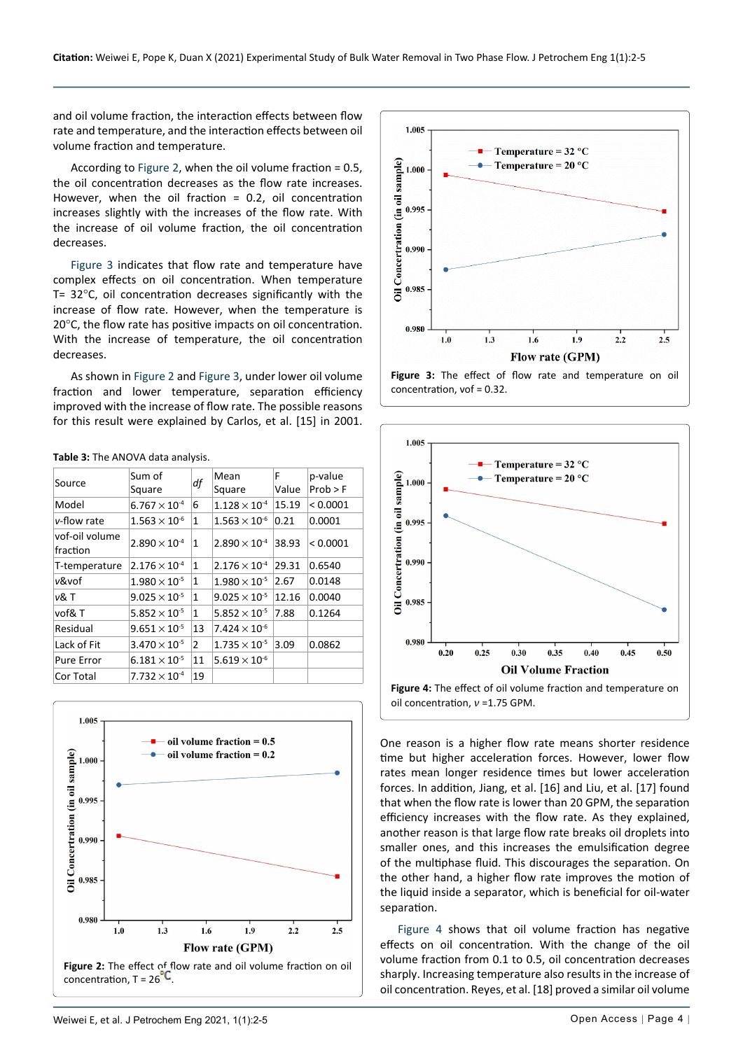and oil volume fraction, the interaction effects between flow rate and temperature, and the interaction effects between oil volume fraction and temperature.

According to [Figure 2](#page-2-2), when the oil volume fraction = 0.5, the oil concentration decreases as the flow rate increases. However, when the oil fraction = 0.2, oil concentration increases slightly with the increases of the flow rate. With the increase of oil volume fraction, the oil concentration decreases.

[Figure 3](#page-2-3) indicates that flow rate and temperature have complex effects on oil concentration. When temperature T= 32°C, oil concentration decreases significantly with the increase of flow rate. However, when the temperature is 20°C, the flow rate has positive impacts on oil concentration. With the increase of temperature, the oil concentration decreases.

As shown in [Figure 2 a](#page-2-2)nd [Figure 3,](#page-2-3) under lower oil volume fraction and lower temperature, separation efficiency improved with the increase of flow rate. The possible reasons for this result were explained by Carlos, et al. [15] in 2001.

<span id="page-2-0"></span>**Table 3:** The ANOVA data analysis.

| Source                     | Sum of<br>Square       | df           | Mean<br>Square         | F<br>Value | p-value<br>Prob > F |
|----------------------------|------------------------|--------------|------------------------|------------|---------------------|
| Model                      | $6.767 \times 10^{-4}$ | 6            | $1.128 \times 10^{-4}$ | 15.19      | < 0.0001            |
| v-flow rate                | $1.563 \times 10^{-6}$ | 1            | $1.563 \times 10^{-6}$ | 0.21       | 0.0001              |
| vof-oil volume<br>fraction | $2.890 \times 10^{-4}$ | $\mathbf{1}$ | $2.890 \times 10^{-4}$ | 38.93      | < 0.0001            |
| T-temperature              | $2.176 \times 10^{-4}$ | 1            | $2.176 \times 10^{4}$  | 29.31      | 0.6540              |
| v&vof                      | $1.980 \times 10^{-5}$ | 1            | $1.980 \times 10^{-5}$ | 2.67       | 0.0148              |
| v& T                       | $9.025 \times 10^{-5}$ | 1            | $9.025 \times 10^{-5}$ | 12.16      | 0.0040              |
| vof&T                      | $5.852 \times 10^{-5}$ | 1            | $5.852 \times 10^{-5}$ | 7.88       | 0.1264              |
| Residual                   | $9.651 \times 10^{-5}$ | 13           | $7.424 \times 10^{-6}$ |            |                     |
| Lack of Fit                | $3.470 \times 10^{-5}$ | 2            | $1.735 \times 10^{-5}$ | 3.09       | 0.0862              |
| Pure Error                 | $6.181 \times 10^{-5}$ | 11           | $5.619 \times 10^{-6}$ |            |                     |
| Cor Total                  | $7.732 \times 10^{-4}$ | 19           |                        |            |                     |

<span id="page-2-2"></span>

<span id="page-2-3"></span>

**Figure 3:** The effect of flow rate and temperature on oil concentration, vof = 0.32.

<span id="page-2-1"></span>

One reason is a higher flow rate means shorter residence time but higher acceleration forces. However, lower flow rates mean longer residence times but lower acceleration forces. In addition, Jiang, et al. [16] and Liu, et al. [17] found that when the flow rate is lower than 20 GPM, the separation efficiency increases with the flow rate. As they explained, another reason is that large flow rate breaks oil droplets into smaller ones, and this increases the emulsification degree of the multiphase fluid. This discourages the separation. On the other hand, a higher flow rate improves the motion of the liquid inside a separator, which is beneficial for oil-water separation.

[Figure 4](#page-2-1) shows that oil volume fraction has negative effects on oil concentration. With the change of the oil volume fraction from 0.1 to 0.5, oil concentration decreases sharply. Increasing temperature also results in the increase of oil concentration. Reyes, et al. [18] proved a similar oil volume